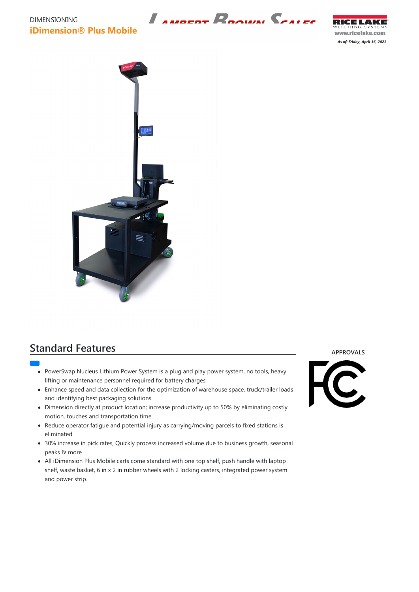## DIMENSIONING **iDimension® Plus Mobile**

RICE LAKE WEIGHING SYSTEMS www.ricelake.com

*As of: Friday, April 16, 2021*



## **Standard Features**

- - PowerSwap Nucleus Lithium Power System is a plug and play power system, no tools, heavy lifting or maintenance personnel required for battery charges
	- Enhance speed and data collection for the optimization of warehouse space, truck/trailer loads and identifying best packaging solutions
	- Dimension directly at product location; increase productivity up to 50% by eliminating costly motion, touches and transportation time
- Reduce operator fatigue and potential injury as carrying/moving parcels to fixed stations is eliminated
- 30% increase in pick rates, Quickly process increased volume due to business growth, seasonal



peaks & more

All iDimension Plus Mobile carts come standard with one top shelf, push handle with laptop shelf, waste basket, 6 in x 2 in rubber wheels with 2 locking casters, integrated power system and power strip.

**APPROVALS**